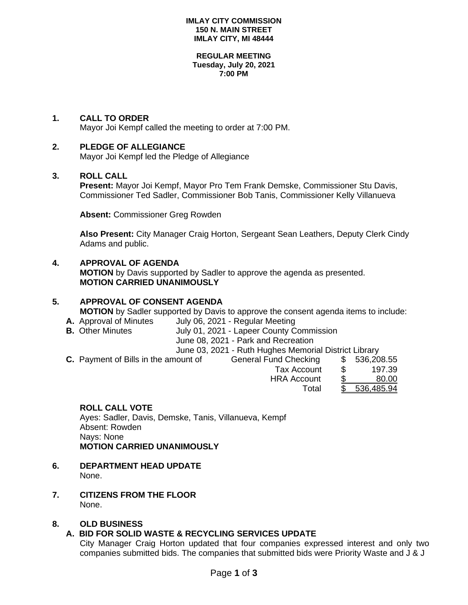### **IMLAY CITY COMMISSION 150 N. MAIN STREET IMLAY CITY, MI 48444**

#### **REGULAR MEETING Tuesday, July 20, 2021 7:00 PM**

# **1. CALL TO ORDER**

Mayor Joi Kempf called the meeting to order at 7:00 PM.

## **2. PLEDGE OF ALLEGIANCE**

Mayor Joi Kempf led the Pledge of Allegiance

### **3. ROLL CALL**

**Present:** Mayor Joi Kempf, Mayor Pro Tem Frank Demske, Commissioner Stu Davis, Commissioner Ted Sadler, Commissioner Bob Tanis, Commissioner Kelly Villanueva

**Absent:** Commissioner Greg Rowden

**Also Present:** City Manager Craig Horton, Sergeant Sean Leathers, Deputy Clerk Cindy Adams and public.

### **4. APPROVAL OF AGENDA**

**MOTION** by Davis supported by Sadler to approve the agenda as presented. **MOTION CARRIED UNANIMOUSLY**

### **5. APPROVAL OF CONSENT AGENDA**

**MOTION** by Sadler supported by Davis to approve the consent agenda items to include:

- **A.** Approval of Minutes July 06, 2021 Regular Meeting<br>**B.** Other Minutes July 01, 2021 Lapeer County C
	- **July 01, 2021 Lapeer County Commission** 
		- June 08, 2021 Park and Recreation
			- June 03, 2021 Ruth Hughes Memorial District Library
- **C.** Payment of Bills in the amount of General Fund Checking \$ 536,208.55 Tax Account \$ 197.39 HRA Account \$ 80.00 Total \$ 536,485.94

### **ROLL CALL VOTE**

Ayes: Sadler, Davis, Demske, Tanis, Villanueva, Kempf Absent: Rowden Nays: None **MOTION CARRIED UNANIMOUSLY**

- **6. DEPARTMENT HEAD UPDATE** None.
- **7. CITIZENS FROM THE FLOOR** None.

## **8. OLD BUSINESS**

## **A. BID FOR SOLID WASTE & RECYCLING SERVICES UPDATE**

City Manager Craig Horton updated that four companies expressed interest and only two companies submitted bids. The companies that submitted bids were Priority Waste and J & J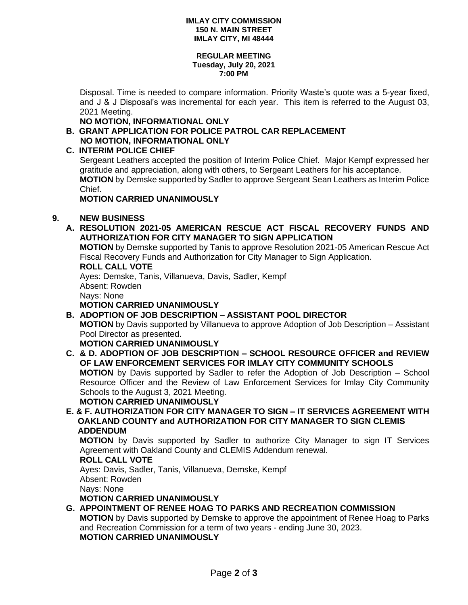### **IMLAY CITY COMMISSION 150 N. MAIN STREET IMLAY CITY, MI 48444**

#### **REGULAR MEETING Tuesday, July 20, 2021 7:00 PM**

Disposal. Time is needed to compare information. Priority Waste's quote was a 5-year fixed, and J & J Disposal's was incremental for each year. This item is referred to the August 03, 2021 Meeting.

**NO MOTION, INFORMATIONAL ONLY**

**B. GRANT APPLICATION FOR POLICE PATROL CAR REPLACEMENT NO MOTION, INFORMATIONAL ONLY**

# **C. INTERIM POLICE CHIEF**

Sergeant Leathers accepted the position of Interim Police Chief. Major Kempf expressed her gratitude and appreciation, along with others, to Sergeant Leathers for his acceptance. **MOTION** by Demske supported by Sadler to approve Sergeant Sean Leathers as Interim Police Chief.

## **MOTION CARRIED UNANIMOUSLY**

# **9. NEW BUSINESS**

**A. RESOLUTION 2021-05 AMERICAN RESCUE ACT FISCAL RECOVERY FUNDS AND AUTHORIZATION FOR CITY MANAGER TO SIGN APPLICATION**

**MOTION** by Demske supported by Tanis to approve Resolution 2021-05 American Rescue Act Fiscal Recovery Funds and Authorization for City Manager to Sign Application.

### **ROLL CALL VOTE**

Ayes: Demske, Tanis, Villanueva, Davis, Sadler, Kempf Absent: Rowden Nays: None

**MOTION CARRIED UNANIMOUSLY**

**B. ADOPTION OF JOB DESCRIPTION – ASSISTANT POOL DIRECTOR MOTION** by Davis supported by Villanueva to approve Adoption of Job Description – Assistant Pool Director as presented.

**MOTION CARRIED UNANIMOUSLY**

**C. & D. ADOPTION OF JOB DESCRIPTION – SCHOOL RESOURCE OFFICER and REVIEW OF LAW ENFORCEMENT SERVICES FOR IMLAY CITY COMMUNITY SCHOOLS MOTION** by Davis supported by Sadler to refer the Adoption of Job Description – School Resource Officer and the Review of Law Enforcement Services for Imlay City Community Schools to the August 3, 2021 Meeting.

**MOTION CARRIED UNANIMOUSLY**

**E. & F. AUTHORIZATION FOR CITY MANAGER TO SIGN – IT SERVICES AGREEMENT WITH OAKLAND COUNTY and AUTHORIZATION FOR CITY MANAGER TO SIGN CLEMIS ADDENDUM**

**MOTION** by Davis supported by Sadler to authorize City Manager to sign IT Services Agreement with Oakland County and CLEMIS Addendum renewal.

## **ROLL CALL VOTE**

Ayes: Davis, Sadler, Tanis, Villanueva, Demske, Kempf Absent: Rowden Nays: None

**MOTION CARRIED UNANIMOUSLY**

**G. APPOINTMENT OF RENEE HOAG TO PARKS AND RECREATION COMMISSION**

**MOTION** by Davis supported by Demske to approve the appointment of Renee Hoag to Parks and Recreation Commission for a term of two years - ending June 30, 2023. **MOTION CARRIED UNANIMOUSLY**